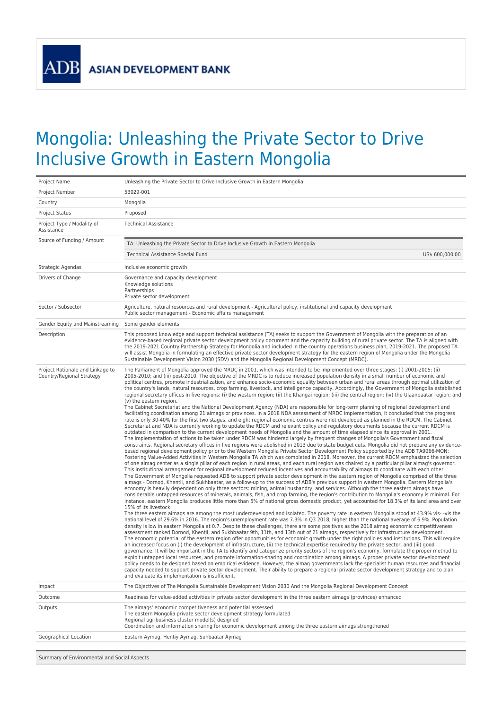## Mongolia: Unleashing the Private Sector to Drive Inclusive Growth in Eastern Mongolia

| Project Name                                                  | Unleashing the Private Sector to Drive Inclusive Growth in Eastern Mongolia                                                                                                                                                                                                                                                                                                                                                                                                                                                                                                                                                                                                                                                                                                                                                                                                                                                                                                                                                                                                                                                                                                                                                                                                                                                                                                                                                                                                                                                                                                                                                                                                                                                                                                                                                                                                                                                                                                                                                                                                                                                                                                                                                                                                                                                                                                                                                                                                                                                                                                                                                                                                                                                                                                                                                                                                                                                                                                                                                                                                                                                                                                                                                                                                                                                                                                                                                                                                                                                                                                                                                                                                                                                                                                                                                                                                                                                                                                                                                                                                                                                                                                                                                                                                                                                                                                                                                                                                                                                                                                                                                             |
|---------------------------------------------------------------|-----------------------------------------------------------------------------------------------------------------------------------------------------------------------------------------------------------------------------------------------------------------------------------------------------------------------------------------------------------------------------------------------------------------------------------------------------------------------------------------------------------------------------------------------------------------------------------------------------------------------------------------------------------------------------------------------------------------------------------------------------------------------------------------------------------------------------------------------------------------------------------------------------------------------------------------------------------------------------------------------------------------------------------------------------------------------------------------------------------------------------------------------------------------------------------------------------------------------------------------------------------------------------------------------------------------------------------------------------------------------------------------------------------------------------------------------------------------------------------------------------------------------------------------------------------------------------------------------------------------------------------------------------------------------------------------------------------------------------------------------------------------------------------------------------------------------------------------------------------------------------------------------------------------------------------------------------------------------------------------------------------------------------------------------------------------------------------------------------------------------------------------------------------------------------------------------------------------------------------------------------------------------------------------------------------------------------------------------------------------------------------------------------------------------------------------------------------------------------------------------------------------------------------------------------------------------------------------------------------------------------------------------------------------------------------------------------------------------------------------------------------------------------------------------------------------------------------------------------------------------------------------------------------------------------------------------------------------------------------------------------------------------------------------------------------------------------------------------------------------------------------------------------------------------------------------------------------------------------------------------------------------------------------------------------------------------------------------------------------------------------------------------------------------------------------------------------------------------------------------------------------------------------------------------------------------------------------------------------------------------------------------------------------------------------------------------------------------------------------------------------------------------------------------------------------------------------------------------------------------------------------------------------------------------------------------------------------------------------------------------------------------------------------------------------------------------------------------------------------------------------------------------------------------------------------------------------------------------------------------------------------------------------------------------------------------------------------------------------------------------------------------------------------------------------------------------------------------------------------------------------------------------------------------------------------------------------------------------------------------------------------------|
| Project Number                                                | 53029-001                                                                                                                                                                                                                                                                                                                                                                                                                                                                                                                                                                                                                                                                                                                                                                                                                                                                                                                                                                                                                                                                                                                                                                                                                                                                                                                                                                                                                                                                                                                                                                                                                                                                                                                                                                                                                                                                                                                                                                                                                                                                                                                                                                                                                                                                                                                                                                                                                                                                                                                                                                                                                                                                                                                                                                                                                                                                                                                                                                                                                                                                                                                                                                                                                                                                                                                                                                                                                                                                                                                                                                                                                                                                                                                                                                                                                                                                                                                                                                                                                                                                                                                                                                                                                                                                                                                                                                                                                                                                                                                                                                                                                               |
| Country                                                       | Mongolia                                                                                                                                                                                                                                                                                                                                                                                                                                                                                                                                                                                                                                                                                                                                                                                                                                                                                                                                                                                                                                                                                                                                                                                                                                                                                                                                                                                                                                                                                                                                                                                                                                                                                                                                                                                                                                                                                                                                                                                                                                                                                                                                                                                                                                                                                                                                                                                                                                                                                                                                                                                                                                                                                                                                                                                                                                                                                                                                                                                                                                                                                                                                                                                                                                                                                                                                                                                                                                                                                                                                                                                                                                                                                                                                                                                                                                                                                                                                                                                                                                                                                                                                                                                                                                                                                                                                                                                                                                                                                                                                                                                                                                |
| Project Status                                                | Proposed                                                                                                                                                                                                                                                                                                                                                                                                                                                                                                                                                                                                                                                                                                                                                                                                                                                                                                                                                                                                                                                                                                                                                                                                                                                                                                                                                                                                                                                                                                                                                                                                                                                                                                                                                                                                                                                                                                                                                                                                                                                                                                                                                                                                                                                                                                                                                                                                                                                                                                                                                                                                                                                                                                                                                                                                                                                                                                                                                                                                                                                                                                                                                                                                                                                                                                                                                                                                                                                                                                                                                                                                                                                                                                                                                                                                                                                                                                                                                                                                                                                                                                                                                                                                                                                                                                                                                                                                                                                                                                                                                                                                                                |
| Project Type / Modality of<br>Assistance                      | <b>Technical Assistance</b>                                                                                                                                                                                                                                                                                                                                                                                                                                                                                                                                                                                                                                                                                                                                                                                                                                                                                                                                                                                                                                                                                                                                                                                                                                                                                                                                                                                                                                                                                                                                                                                                                                                                                                                                                                                                                                                                                                                                                                                                                                                                                                                                                                                                                                                                                                                                                                                                                                                                                                                                                                                                                                                                                                                                                                                                                                                                                                                                                                                                                                                                                                                                                                                                                                                                                                                                                                                                                                                                                                                                                                                                                                                                                                                                                                                                                                                                                                                                                                                                                                                                                                                                                                                                                                                                                                                                                                                                                                                                                                                                                                                                             |
| Source of Funding / Amount                                    | TA: Unleashing the Private Sector to Drive Inclusive Growth in Eastern Mongolia                                                                                                                                                                                                                                                                                                                                                                                                                                                                                                                                                                                                                                                                                                                                                                                                                                                                                                                                                                                                                                                                                                                                                                                                                                                                                                                                                                                                                                                                                                                                                                                                                                                                                                                                                                                                                                                                                                                                                                                                                                                                                                                                                                                                                                                                                                                                                                                                                                                                                                                                                                                                                                                                                                                                                                                                                                                                                                                                                                                                                                                                                                                                                                                                                                                                                                                                                                                                                                                                                                                                                                                                                                                                                                                                                                                                                                                                                                                                                                                                                                                                                                                                                                                                                                                                                                                                                                                                                                                                                                                                                         |
|                                                               | US\$ 600,000.00<br>Technical Assistance Special Fund                                                                                                                                                                                                                                                                                                                                                                                                                                                                                                                                                                                                                                                                                                                                                                                                                                                                                                                                                                                                                                                                                                                                                                                                                                                                                                                                                                                                                                                                                                                                                                                                                                                                                                                                                                                                                                                                                                                                                                                                                                                                                                                                                                                                                                                                                                                                                                                                                                                                                                                                                                                                                                                                                                                                                                                                                                                                                                                                                                                                                                                                                                                                                                                                                                                                                                                                                                                                                                                                                                                                                                                                                                                                                                                                                                                                                                                                                                                                                                                                                                                                                                                                                                                                                                                                                                                                                                                                                                                                                                                                                                                    |
| Strategic Agendas                                             | Inclusive economic growth                                                                                                                                                                                                                                                                                                                                                                                                                                                                                                                                                                                                                                                                                                                                                                                                                                                                                                                                                                                                                                                                                                                                                                                                                                                                                                                                                                                                                                                                                                                                                                                                                                                                                                                                                                                                                                                                                                                                                                                                                                                                                                                                                                                                                                                                                                                                                                                                                                                                                                                                                                                                                                                                                                                                                                                                                                                                                                                                                                                                                                                                                                                                                                                                                                                                                                                                                                                                                                                                                                                                                                                                                                                                                                                                                                                                                                                                                                                                                                                                                                                                                                                                                                                                                                                                                                                                                                                                                                                                                                                                                                                                               |
| Drivers of Change                                             | Governance and capacity development<br>Knowledge solutions<br>Partnerships<br>Private sector development                                                                                                                                                                                                                                                                                                                                                                                                                                                                                                                                                                                                                                                                                                                                                                                                                                                                                                                                                                                                                                                                                                                                                                                                                                                                                                                                                                                                                                                                                                                                                                                                                                                                                                                                                                                                                                                                                                                                                                                                                                                                                                                                                                                                                                                                                                                                                                                                                                                                                                                                                                                                                                                                                                                                                                                                                                                                                                                                                                                                                                                                                                                                                                                                                                                                                                                                                                                                                                                                                                                                                                                                                                                                                                                                                                                                                                                                                                                                                                                                                                                                                                                                                                                                                                                                                                                                                                                                                                                                                                                                |
| Sector / Subsector                                            | Agriculture, natural resources and rural development - Agricultural policy, institutional and capacity development<br>Public sector management - Economic affairs management                                                                                                                                                                                                                                                                                                                                                                                                                                                                                                                                                                                                                                                                                                                                                                                                                                                                                                                                                                                                                                                                                                                                                                                                                                                                                                                                                                                                                                                                                                                                                                                                                                                                                                                                                                                                                                                                                                                                                                                                                                                                                                                                                                                                                                                                                                                                                                                                                                                                                                                                                                                                                                                                                                                                                                                                                                                                                                                                                                                                                                                                                                                                                                                                                                                                                                                                                                                                                                                                                                                                                                                                                                                                                                                                                                                                                                                                                                                                                                                                                                                                                                                                                                                                                                                                                                                                                                                                                                                            |
| Gender Equity and Mainstreaming                               | Some gender elements                                                                                                                                                                                                                                                                                                                                                                                                                                                                                                                                                                                                                                                                                                                                                                                                                                                                                                                                                                                                                                                                                                                                                                                                                                                                                                                                                                                                                                                                                                                                                                                                                                                                                                                                                                                                                                                                                                                                                                                                                                                                                                                                                                                                                                                                                                                                                                                                                                                                                                                                                                                                                                                                                                                                                                                                                                                                                                                                                                                                                                                                                                                                                                                                                                                                                                                                                                                                                                                                                                                                                                                                                                                                                                                                                                                                                                                                                                                                                                                                                                                                                                                                                                                                                                                                                                                                                                                                                                                                                                                                                                                                                    |
| Description                                                   | This proposed knowledge and support technical assistance (TA) seeks to support the Government of Mongolia with the preparation of an<br>evidence-based regional private sector development policy document and the capacity building of rural private sector. The TA is aligned with<br>the 2019-2021 Country Partnership Strategy for Mongolia and included in the country operations business plan, 2019-2021. The proposed TA<br>will assist Mongolia in formulating an effective private sector development strategy for the eastern region of Mongolia under the Mongolia<br>Sustainable Development Vision 2030 (SDV) and the Mongolia Regional Development Concept (MRDC).                                                                                                                                                                                                                                                                                                                                                                                                                                                                                                                                                                                                                                                                                                                                                                                                                                                                                                                                                                                                                                                                                                                                                                                                                                                                                                                                                                                                                                                                                                                                                                                                                                                                                                                                                                                                                                                                                                                                                                                                                                                                                                                                                                                                                                                                                                                                                                                                                                                                                                                                                                                                                                                                                                                                                                                                                                                                                                                                                                                                                                                                                                                                                                                                                                                                                                                                                                                                                                                                                                                                                                                                                                                                                                                                                                                                                                                                                                                                                       |
| Project Rationale and Linkage to<br>Country/Regional Strategy | The Parliament of Mongolia approved the MRDC in 2001, which was intended to be implemented over three stages: (i) 2001-2005; (ii)<br>2005-2010; and (iii) post-2010. The objective of the MRDC is to reduce increased population density in a small number of economic and<br>political centres, promote industrialization, and enhance socio-economic equality between urban and rural areas through optimal utilization of<br>the country's lands, natural resources, crop farming, livestock, and intelligence capacity. Accordingly, the Government of Mongolia established<br>regional secretary offices in five regions: (i) the western region; (ii) the Khangai region; (iii) the central region; (iv) the Ulaanbaatar region; and<br>(v) the eastern region.<br>The Cabinet Secretariat and the National Development Agency (NDA) are responsible for long-term planning of regional development and<br>facilitating coordination among 21 aimags or provinces. In a 2018 NDA assessment of MRDC implementation, it concluded that the progress<br>rate is only 30-40% for the first two stages, and eight regional economic centres were not developed as planned in the RDCM. The Cabinet<br>Secretariat and NDA is currently working to update the RDCM and relevant policy and regulatory documents because the current RDCM is<br>outdated in comparison to the current development needs of Mongolia and the amount of time elapsed since its approval in 2001.<br>The implementation of actions to be taken under RDCM was hindered largely by frequent changes of Mongolia's Government and fiscal<br>constraints. Regional secretary offices in five regions were abolished in 2013 due to state budget cuts. Mongolia did not prepare any evidence-<br>based regional development policy prior to the Western Mongolia Private Sector Development Policy supported by the ADB TA9066-MON:<br>Fostering Value-Added Activities in Western Mongolia TA which was completed in 2018. Moreover, the current RDCM emphasized the selection<br>of one aimag center as a single pillar of each region in rural areas, and each rural region was chaired by a particular pillar aimag's governor.<br>This institutional arrangement for regional development reduced incentives and accountability of aimags to coordinate with each other.<br>The Government of Mongolia requested ADB to support private sector development in the eastern region of Mongolia comprised of the three<br>aimags - Dornod, Khentii, and Sukhbaatar, as a follow-up to the success of ADB's previous support in western Mongolia. Eastern Mongolia's<br>economy is heavily dependent on only three sectors: mining, animal husbandry, and services. Although the three eastern aimags have<br>considerable untapped resources of minerals, animals, fish, and crop farming, the region's contribution to Mongolia's economy is minimal. For<br>instance, eastern Mongolia produces little more than 5% of national gross domestic product, yet accounted for 18.3% of its land area and over<br>15% of its livestock.<br>The three eastern aimags are among the most underdeveloped and isolated. The poverty rate in eastern Mongolia stood at 43.9% vis--vis the<br>national level of 29.6% in 2016. The region's unemployment rate was 7.3% in Q3 2018, higher than the national average of 6.9%. Population<br>density is low in eastern Mongolia at 0.7. Despite these challenges, there are some positives as the 2018 aimag economic competitiveness<br>assessment ranked Dornod, Khentii, and Sukhbaatar 9th, 11th, and 13th out of 21 aimags, respectively for infrastructure development.<br>The economic potential of the eastern region offer opportunities for economic growth under the right policies and institutions. This will require<br>an increased focus on (i) the development of infrastructure, (ii) the technical expertise required by the private sector, and (iii) good<br>governance. It will be important in the TA to identify and categorize priority sectors of the region's economy, formulate the proper method to<br>exploit untapped local resources, and promote information-sharing and coordination among aimags. A proper private sector development<br>policy needs to be designed based on empirical evidence. However, the aimag governments lack the specialist human resources and financial<br>capacity needed to support private sector development. Their ability to prepare a regional private sector development strategy and to plan<br>and evaluate its implementation is insufficient. |
| Impact                                                        | The Objectives of The Mongolia Sustainable Development Vision 2030 And the Mongolia Regional Development Concept                                                                                                                                                                                                                                                                                                                                                                                                                                                                                                                                                                                                                                                                                                                                                                                                                                                                                                                                                                                                                                                                                                                                                                                                                                                                                                                                                                                                                                                                                                                                                                                                                                                                                                                                                                                                                                                                                                                                                                                                                                                                                                                                                                                                                                                                                                                                                                                                                                                                                                                                                                                                                                                                                                                                                                                                                                                                                                                                                                                                                                                                                                                                                                                                                                                                                                                                                                                                                                                                                                                                                                                                                                                                                                                                                                                                                                                                                                                                                                                                                                                                                                                                                                                                                                                                                                                                                                                                                                                                                                                        |
| Outcome                                                       | Readiness for value-added activities in private sector development in the three eastern aimags (provinces) enhanced                                                                                                                                                                                                                                                                                                                                                                                                                                                                                                                                                                                                                                                                                                                                                                                                                                                                                                                                                                                                                                                                                                                                                                                                                                                                                                                                                                                                                                                                                                                                                                                                                                                                                                                                                                                                                                                                                                                                                                                                                                                                                                                                                                                                                                                                                                                                                                                                                                                                                                                                                                                                                                                                                                                                                                                                                                                                                                                                                                                                                                                                                                                                                                                                                                                                                                                                                                                                                                                                                                                                                                                                                                                                                                                                                                                                                                                                                                                                                                                                                                                                                                                                                                                                                                                                                                                                                                                                                                                                                                                     |
| Outputs                                                       | The aimags' economic competitiveness and potential assessed<br>The eastern Mongolia private sector development strategy formulated<br>Regional agribusiness cluster model(s) designed<br>Coordination and information sharing for economic development among the three eastern aimags strengthened                                                                                                                                                                                                                                                                                                                                                                                                                                                                                                                                                                                                                                                                                                                                                                                                                                                                                                                                                                                                                                                                                                                                                                                                                                                                                                                                                                                                                                                                                                                                                                                                                                                                                                                                                                                                                                                                                                                                                                                                                                                                                                                                                                                                                                                                                                                                                                                                                                                                                                                                                                                                                                                                                                                                                                                                                                                                                                                                                                                                                                                                                                                                                                                                                                                                                                                                                                                                                                                                                                                                                                                                                                                                                                                                                                                                                                                                                                                                                                                                                                                                                                                                                                                                                                                                                                                                      |
| Geographical Location                                         | Eastern Aymag, Hentiy Aymag, Suhbaatar Aymag                                                                                                                                                                                                                                                                                                                                                                                                                                                                                                                                                                                                                                                                                                                                                                                                                                                                                                                                                                                                                                                                                                                                                                                                                                                                                                                                                                                                                                                                                                                                                                                                                                                                                                                                                                                                                                                                                                                                                                                                                                                                                                                                                                                                                                                                                                                                                                                                                                                                                                                                                                                                                                                                                                                                                                                                                                                                                                                                                                                                                                                                                                                                                                                                                                                                                                                                                                                                                                                                                                                                                                                                                                                                                                                                                                                                                                                                                                                                                                                                                                                                                                                                                                                                                                                                                                                                                                                                                                                                                                                                                                                            |

Summary of Environmental and Social Aspects